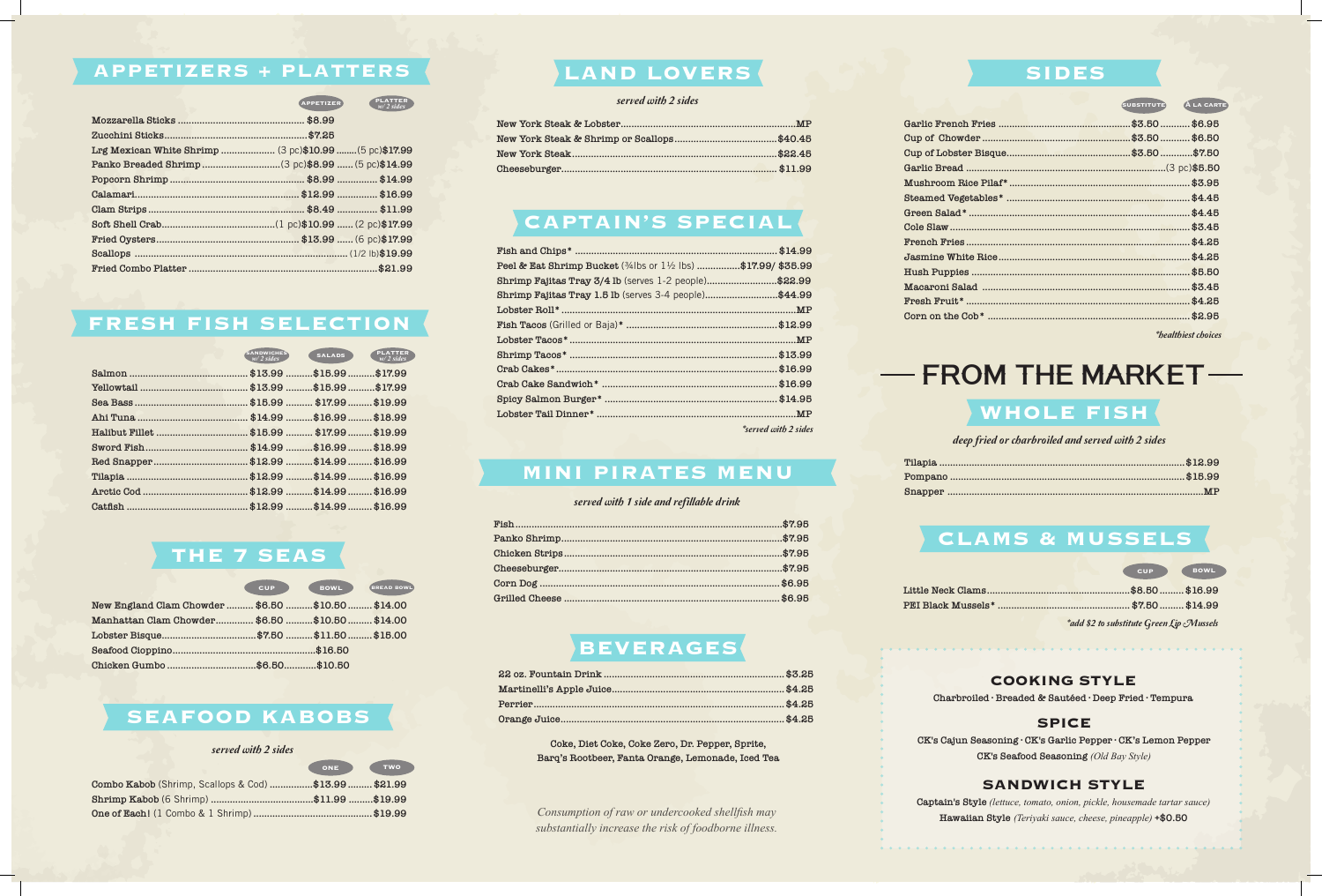*Consumption of raw or undercooked shellfish may substantially increase the risk of foodborne illness.*

| <b>PLATTER</b><br><b>APPETIZER</b><br>$w/2$ sides      |
|--------------------------------------------------------|
|                                                        |
|                                                        |
| Lrg Mexican White Shrimp  (3 pc)\$10.99  (5 pc)\$17.99 |
|                                                        |
|                                                        |
|                                                        |
|                                                        |
|                                                        |
|                                                        |
|                                                        |
|                                                        |

#### **APPETIZERS + PLATTERS**

|  | $\sim$ corresponding to the $\sim$ |
|--|------------------------------------|
|  |                                    |
|  |                                    |
|  |                                    |

#### served with 2 sides

#### **FRESH FISH SELECTION**

## **WHOLE FISH**

deep fried or charbroiled and served with 2 sides

#### **CLAMS & MUSSELS**

|                                                    | <b>CUP</b> | BOWL ) | <b>BREAD BOWL</b> |
|----------------------------------------------------|------------|--------|-------------------|
| New England Clam Chowder  \$6.50  \$10.50  \$14.00 |            |        |                   |
| Manhattan Clam Chowder \$6.50  \$10.50  \$14.00    |            |        |                   |
| Lobster Bisque\$7.50 \$11.50 \$15.00               |            |        |                   |
|                                                    |            |        |                   |
|                                                    |            |        |                   |

|                                                       | ONE ) | <b>TWO</b> |
|-------------------------------------------------------|-------|------------|
| Combo Kabob (Shrimp, Scallops & Cod) \$13.99  \$21.99 |       |            |
|                                                       |       |            |
|                                                       |       |            |

#### **SEAFOOD KABOBS**

## **THE 7 SEAS**

|                                  | <b>SANDWICHES</b><br>$w/2$ sides | <b>SALADS</b> | <b>PLATTER</b><br>$w/2$ sides |
|----------------------------------|----------------------------------|---------------|-------------------------------|
|                                  |                                  |               | \$15.99 \$17.99               |
|                                  |                                  |               | \$15.99\$17.99                |
|                                  |                                  |               | \$19.99                       |
|                                  |                                  | $$16.99$      | \$18.99                       |
| Halibut Fillet  \$15.99  \$17.99 |                                  |               | \$19.99                       |
|                                  |                                  |               | \$16.99 \$18.99               |
|                                  |                                  | $$14.99$      | \$16.99                       |
|                                  |                                  | $$14.99$      | \$16.99                       |
|                                  |                                  |               | \$14.99  \$16.99              |
|                                  |                                  |               | \$14.99  \$16.99              |

| Peel & Eat Shrimp Bucket (34lbs or 11/2 lbs) \$17.99/ \$35.99 |  |
|---------------------------------------------------------------|--|
| Shrimp Fajitas Tray 3/4 lb (serves 1-2 people)\$22.99         |  |
| Shrimp Fajitas Tray 1.5 lb (serves 3-4 people)\$44.99         |  |
|                                                               |  |
|                                                               |  |
|                                                               |  |
|                                                               |  |
|                                                               |  |
|                                                               |  |
|                                                               |  |
|                                                               |  |
|                                                               |  |

\*served with 2 sides

## **CAPTAIN'S SPECIAL**

## **LAND LOVERS**

served with 2 sides

#### **COOKING STYLE**

**Charbroiled ∙ Breaded & Sautéed ∙ Deep Fried ∙ Tempura** 

#### **SPICE**

**CK's Cajun Seasoning ∙ CK's Garlic Pepper ∙ CK's Lemon Pepper CK's Seafood Seasoning** *(Old Bay Style)*

#### **SANDWICH STYLE**

**Captain's Style** *(lettuce, tomato, onion, pickle, housemade tartar sauce)* **Hawaiian Style** *(Teriyaki sauce, cheese, pineapple)* **+\$0.50**

#### served with 1 side and refillable drink

#### **MINI PIRATES MENU**

## **BEVERAGES**

| <b>SUBSTITUTE</b> | <b>ALA CARTE</b>    |
|-------------------|---------------------|
|                   |                     |
|                   |                     |
|                   |                     |
|                   |                     |
|                   |                     |
|                   |                     |
|                   |                     |
|                   |                     |
|                   |                     |
|                   |                     |
|                   |                     |
|                   |                     |
|                   |                     |
|                   |                     |
|                   | *healthiest choices |

# -FROM THE MARKET-

#### **SIDES**

**Coke, Diet Coke, Coke Zero, Dr. Pepper, Sprite, Barq's Rootbeer, Fanta Orange, Lemonade, Iced Tea** \*add \$2 to substitute Green Lip Mussels

**cup bowledge**